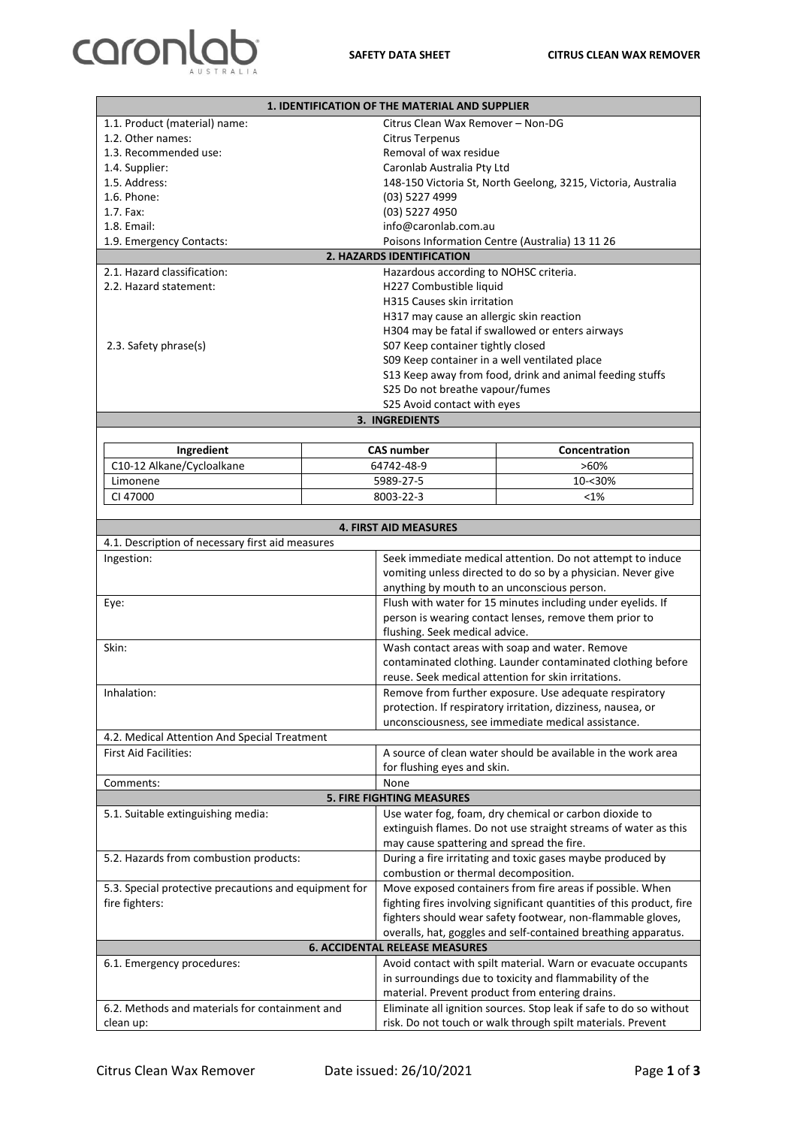## caronlab

| <b>1. IDENTIFICATION OF THE MATERIAL AND SUPPLIER</b> |                                                             |                                                                                  |                                                               |  |  |  |  |  |
|-------------------------------------------------------|-------------------------------------------------------------|----------------------------------------------------------------------------------|---------------------------------------------------------------|--|--|--|--|--|
| 1.1. Product (material) name:                         | Citrus Clean Wax Remover - Non-DG                           |                                                                                  |                                                               |  |  |  |  |  |
| 1.2. Other names:                                     |                                                             | <b>Citrus Terpenus</b>                                                           |                                                               |  |  |  |  |  |
| 1.3. Recommended use:                                 |                                                             | Removal of wax residue                                                           |                                                               |  |  |  |  |  |
| 1.4. Supplier:                                        |                                                             | Caronlab Australia Pty Ltd                                                       |                                                               |  |  |  |  |  |
| 1.5. Address:                                         |                                                             |                                                                                  | 148-150 Victoria St, North Geelong, 3215, Victoria, Australia |  |  |  |  |  |
| 1.6. Phone:                                           |                                                             | (03) 5227 4999                                                                   |                                                               |  |  |  |  |  |
| 1.7. Fax:                                             |                                                             | (03) 5227 4950                                                                   |                                                               |  |  |  |  |  |
| 1.8. Email:                                           |                                                             | info@caronlab.com.au                                                             |                                                               |  |  |  |  |  |
| 1.9. Emergency Contacts:                              |                                                             |                                                                                  | Poisons Information Centre (Australia) 13 11 26               |  |  |  |  |  |
|                                                       |                                                             | 2. HAZARDS IDENTIFICATION                                                        |                                                               |  |  |  |  |  |
| 2.1. Hazard classification:                           | Hazardous according to NOHSC criteria.                      |                                                                                  |                                                               |  |  |  |  |  |
| 2.2. Hazard statement:                                |                                                             | H227 Combustible liquid                                                          |                                                               |  |  |  |  |  |
|                                                       |                                                             | H315 Causes skin irritation                                                      |                                                               |  |  |  |  |  |
|                                                       |                                                             | H317 may cause an allergic skin reaction                                         |                                                               |  |  |  |  |  |
|                                                       |                                                             |                                                                                  | H304 may be fatal if swallowed or enters airways              |  |  |  |  |  |
| 2.3. Safety phrase(s)                                 |                                                             | S07 Keep container tightly closed                                                |                                                               |  |  |  |  |  |
|                                                       |                                                             | S09 Keep container in a well ventilated place                                    |                                                               |  |  |  |  |  |
|                                                       |                                                             |                                                                                  | S13 Keep away from food, drink and animal feeding stuffs      |  |  |  |  |  |
|                                                       |                                                             | S25 Do not breathe vapour/fumes                                                  |                                                               |  |  |  |  |  |
|                                                       |                                                             | S25 Avoid contact with eyes                                                      |                                                               |  |  |  |  |  |
|                                                       |                                                             | <b>3. INGREDIENTS</b>                                                            |                                                               |  |  |  |  |  |
|                                                       |                                                             |                                                                                  |                                                               |  |  |  |  |  |
| Ingredient                                            |                                                             | <b>CAS number</b>                                                                | Concentration                                                 |  |  |  |  |  |
| C10-12 Alkane/Cycloalkane                             |                                                             | 64742-48-9                                                                       | $>60\%$                                                       |  |  |  |  |  |
| Limonene                                              |                                                             | 5989-27-5                                                                        | 10-<30%                                                       |  |  |  |  |  |
| CI 47000                                              |                                                             | 8003-22-3                                                                        | <1%                                                           |  |  |  |  |  |
|                                                       |                                                             |                                                                                  |                                                               |  |  |  |  |  |
|                                                       |                                                             | <b>4. FIRST AID MEASURES</b>                                                     |                                                               |  |  |  |  |  |
| 4.1. Description of necessary first aid measures      |                                                             |                                                                                  |                                                               |  |  |  |  |  |
| Ingestion:                                            |                                                             | Seek immediate medical attention. Do not attempt to induce                       |                                                               |  |  |  |  |  |
|                                                       |                                                             | vomiting unless directed to do so by a physician. Never give                     |                                                               |  |  |  |  |  |
|                                                       |                                                             | anything by mouth to an unconscious person.                                      |                                                               |  |  |  |  |  |
|                                                       |                                                             | Flush with water for 15 minutes including under eyelids. If                      |                                                               |  |  |  |  |  |
| Eye:<br>Skin:<br>Inhalation:                          |                                                             |                                                                                  |                                                               |  |  |  |  |  |
|                                                       |                                                             | person is wearing contact lenses, remove them prior to                           |                                                               |  |  |  |  |  |
|                                                       |                                                             | flushing. Seek medical advice.<br>Wash contact areas with soap and water. Remove |                                                               |  |  |  |  |  |
|                                                       |                                                             |                                                                                  |                                                               |  |  |  |  |  |
|                                                       |                                                             |                                                                                  | contaminated clothing. Launder contaminated clothing before   |  |  |  |  |  |
|                                                       |                                                             |                                                                                  | reuse. Seek medical attention for skin irritations.           |  |  |  |  |  |
|                                                       |                                                             | Remove from further exposure. Use adequate respiratory                           |                                                               |  |  |  |  |  |
|                                                       |                                                             | protection. If respiratory irritation, dizziness, nausea, or                     |                                                               |  |  |  |  |  |
|                                                       |                                                             | unconsciousness, see immediate medical assistance.                               |                                                               |  |  |  |  |  |
| 4.2. Medical Attention And Special Treatment          |                                                             |                                                                                  |                                                               |  |  |  |  |  |
| <b>First Aid Facilities:</b>                          |                                                             | A source of clean water should be available in the work area                     |                                                               |  |  |  |  |  |
|                                                       |                                                             | for flushing eyes and skin.                                                      |                                                               |  |  |  |  |  |
| Comments:                                             |                                                             | None                                                                             |                                                               |  |  |  |  |  |
|                                                       |                                                             | <b>5. FIRE FIGHTING MEASURES</b>                                                 |                                                               |  |  |  |  |  |
| 5.1. Suitable extinguishing media:                    |                                                             |                                                                                  | Use water fog, foam, dry chemical or carbon dioxide to        |  |  |  |  |  |
|                                                       |                                                             | extinguish flames. Do not use straight streams of water as this                  |                                                               |  |  |  |  |  |
|                                                       |                                                             | may cause spattering and spread the fire.                                        |                                                               |  |  |  |  |  |
| 5.2. Hazards from combustion products:                |                                                             |                                                                                  | During a fire irritating and toxic gases maybe produced by    |  |  |  |  |  |
|                                                       |                                                             | combustion or thermal decomposition.                                             |                                                               |  |  |  |  |  |
| 5.3. Special protective precautions and equipment for |                                                             | Move exposed containers from fire areas if possible. When                        |                                                               |  |  |  |  |  |
| fire fighters:                                        |                                                             | fighting fires involving significant quantities of this product, fire            |                                                               |  |  |  |  |  |
|                                                       |                                                             | fighters should wear safety footwear, non-flammable gloves,                      |                                                               |  |  |  |  |  |
|                                                       |                                                             | overalls, hat, goggles and self-contained breathing apparatus.                   |                                                               |  |  |  |  |  |
| <b>6. ACCIDENTAL RELEASE MEASURES</b>                 |                                                             |                                                                                  |                                                               |  |  |  |  |  |
| 6.1. Emergency procedures:                            |                                                             |                                                                                  | Avoid contact with spilt material. Warn or evacuate occupants |  |  |  |  |  |
|                                                       |                                                             | in surroundings due to toxicity and flammability of the                          |                                                               |  |  |  |  |  |
|                                                       |                                                             | material. Prevent product from entering drains.                                  |                                                               |  |  |  |  |  |
| 6.2. Methods and materials for containment and        |                                                             | Eliminate all ignition sources. Stop leak if safe to do so without               |                                                               |  |  |  |  |  |
| clean up:                                             | risk. Do not touch or walk through spilt materials. Prevent |                                                                                  |                                                               |  |  |  |  |  |
|                                                       |                                                             |                                                                                  |                                                               |  |  |  |  |  |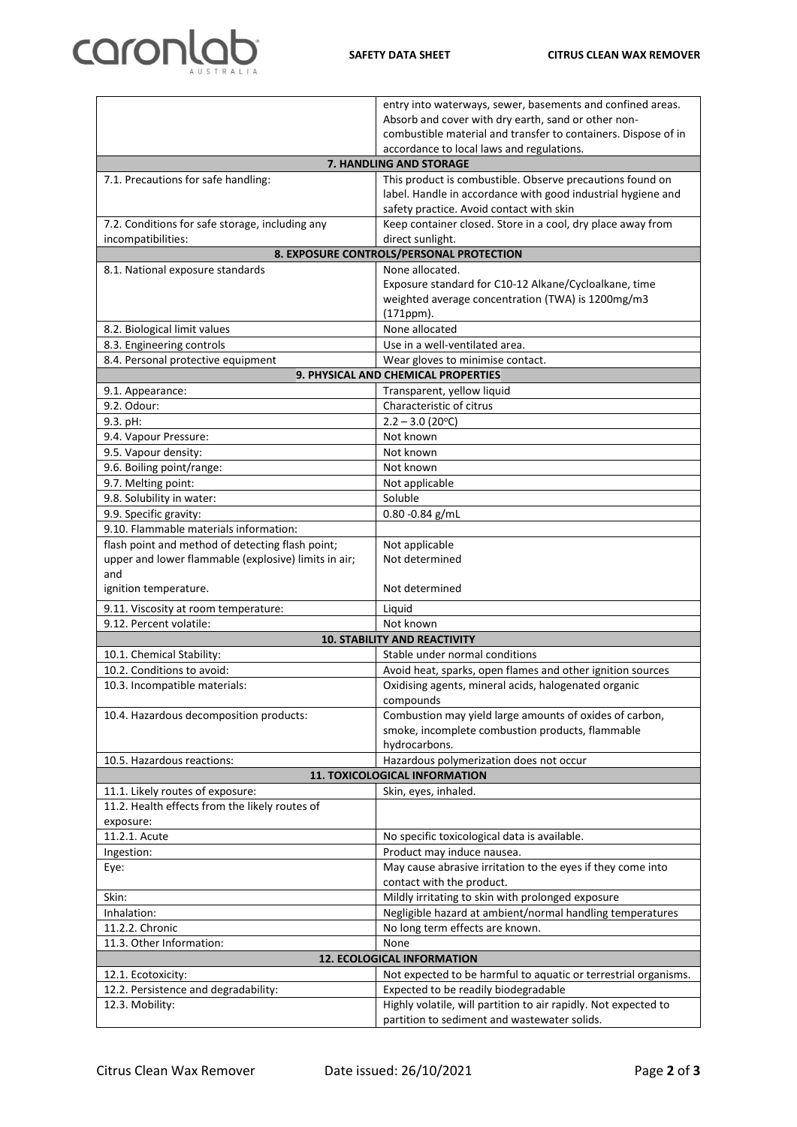## caronlab

| Absorb and cover with dry earth, sand or other non-<br>combustible material and transfer to containers. Dispose of in<br>accordance to local laws and regulations.<br>7. HANDLING AND STORAGE<br>This product is combustible. Observe precautions found on<br>7.1. Precautions for safe handling:<br>label. Handle in accordance with good industrial hygiene and<br>safety practice. Avoid contact with skin<br>Keep container closed. Store in a cool, dry place away from<br>7.2. Conditions for safe storage, including any<br>direct sunlight.<br>incompatibilities:<br>8. EXPOSURE CONTROLS/PERSONAL PROTECTION<br>None allocated.<br>8.1. National exposure standards<br>Exposure standard for C10-12 Alkane/Cycloalkane, time<br>weighted average concentration (TWA) is 1200mg/m3<br>(171ppm).<br>None allocated<br>8.2. Biological limit values<br>8.3. Engineering controls<br>Use in a well-ventilated area.<br>8.4. Personal protective equipment<br>Wear gloves to minimise contact.<br>9. PHYSICAL AND CHEMICAL PROPERTIES<br>9.1. Appearance:<br>Transparent, yellow liquid<br>9.2. Odour:<br>Characteristic of citrus<br>9.3. pH:<br>$2.2 - 3.0$ (20°C)<br>9.4. Vapour Pressure:<br>Not known<br>9.5. Vapour density:<br>Not known<br>9.6. Boiling point/range:<br>Not known<br>9.7. Melting point:<br>Not applicable<br>9.8. Solubility in water:<br>Soluble<br>9.9. Specific gravity:<br>$0.80 - 0.84$ g/mL<br>9.10. Flammable materials information:<br>flash point and method of detecting flash point;<br>Not applicable<br>upper and lower flammable (explosive) limits in air;<br>Not determined<br>and<br>Not determined<br>ignition temperature.<br>9.11. Viscosity at room temperature:<br>Liquid<br>9.12. Percent volatile:<br>Not known<br><b>10. STABILITY AND REACTIVITY</b><br>Stable under normal conditions<br>10.1. Chemical Stability:<br>10.2. Conditions to avoid:<br>Avoid heat, sparks, open flames and other ignition sources<br>10.3. Incompatible materials:<br>Oxidising agents, mineral acids, halogenated organic<br>compounds<br>Combustion may yield large amounts of oxides of carbon,<br>10.4. Hazardous decomposition products:<br>smoke, incomplete combustion products, flammable<br>hydrocarbons.<br>10.5. Hazardous reactions:<br>Hazardous polymerization does not occur<br>11. TOXICOLOGICAL INFORMATION<br>11.1. Likely routes of exposure:<br>Skin, eyes, inhaled.<br>11.2. Health effects from the likely routes of<br>exposure:<br>11.2.1. Acute<br>No specific toxicological data is available.<br>Ingestion:<br>Product may induce nausea.<br>May cause abrasive irritation to the eyes if they come into<br>Eye:<br>contact with the product.<br>Mildly irritating to skin with prolonged exposure<br>Skin:<br>Negligible hazard at ambient/normal handling temperatures<br>Inhalation:<br>11.2.2. Chronic<br>No long term effects are known.<br>11.3. Other Information:<br>None<br>12. ECOLOGICAL INFORMATION<br>Not expected to be harmful to aquatic or terrestrial organisms.<br>12.1. Ecotoxicity:<br>12.2. Persistence and degradability:<br>Expected to be readily biodegradable<br>Highly volatile, will partition to air rapidly. Not expected to<br>12.3. Mobility:<br>partition to sediment and wastewater solids. |  | entry into waterways, sewer, basements and confined areas. |  |  |  |
|------------------------------------------------------------------------------------------------------------------------------------------------------------------------------------------------------------------------------------------------------------------------------------------------------------------------------------------------------------------------------------------------------------------------------------------------------------------------------------------------------------------------------------------------------------------------------------------------------------------------------------------------------------------------------------------------------------------------------------------------------------------------------------------------------------------------------------------------------------------------------------------------------------------------------------------------------------------------------------------------------------------------------------------------------------------------------------------------------------------------------------------------------------------------------------------------------------------------------------------------------------------------------------------------------------------------------------------------------------------------------------------------------------------------------------------------------------------------------------------------------------------------------------------------------------------------------------------------------------------------------------------------------------------------------------------------------------------------------------------------------------------------------------------------------------------------------------------------------------------------------------------------------------------------------------------------------------------------------------------------------------------------------------------------------------------------------------------------------------------------------------------------------------------------------------------------------------------------------------------------------------------------------------------------------------------------------------------------------------------------------------------------------------------------------------------------------------------------------------------------------------------------------------------------------------------------------------------------------------------------------------------------------------------------------------------------------------------------------------------------------------------------------------------------------------------------------------------------------------------------------------------------------------------------------------------------------------------------------------------------------------------------------------------------------------------------------------------------------------------------------------------------------------------------------------------------------------------------------------------------------------------------------------------------|--|------------------------------------------------------------|--|--|--|
|                                                                                                                                                                                                                                                                                                                                                                                                                                                                                                                                                                                                                                                                                                                                                                                                                                                                                                                                                                                                                                                                                                                                                                                                                                                                                                                                                                                                                                                                                                                                                                                                                                                                                                                                                                                                                                                                                                                                                                                                                                                                                                                                                                                                                                                                                                                                                                                                                                                                                                                                                                                                                                                                                                                                                                                                                                                                                                                                                                                                                                                                                                                                                                                                                                                                                                |  |                                                            |  |  |  |
|                                                                                                                                                                                                                                                                                                                                                                                                                                                                                                                                                                                                                                                                                                                                                                                                                                                                                                                                                                                                                                                                                                                                                                                                                                                                                                                                                                                                                                                                                                                                                                                                                                                                                                                                                                                                                                                                                                                                                                                                                                                                                                                                                                                                                                                                                                                                                                                                                                                                                                                                                                                                                                                                                                                                                                                                                                                                                                                                                                                                                                                                                                                                                                                                                                                                                                |  |                                                            |  |  |  |
|                                                                                                                                                                                                                                                                                                                                                                                                                                                                                                                                                                                                                                                                                                                                                                                                                                                                                                                                                                                                                                                                                                                                                                                                                                                                                                                                                                                                                                                                                                                                                                                                                                                                                                                                                                                                                                                                                                                                                                                                                                                                                                                                                                                                                                                                                                                                                                                                                                                                                                                                                                                                                                                                                                                                                                                                                                                                                                                                                                                                                                                                                                                                                                                                                                                                                                |  |                                                            |  |  |  |
|                                                                                                                                                                                                                                                                                                                                                                                                                                                                                                                                                                                                                                                                                                                                                                                                                                                                                                                                                                                                                                                                                                                                                                                                                                                                                                                                                                                                                                                                                                                                                                                                                                                                                                                                                                                                                                                                                                                                                                                                                                                                                                                                                                                                                                                                                                                                                                                                                                                                                                                                                                                                                                                                                                                                                                                                                                                                                                                                                                                                                                                                                                                                                                                                                                                                                                |  |                                                            |  |  |  |
|                                                                                                                                                                                                                                                                                                                                                                                                                                                                                                                                                                                                                                                                                                                                                                                                                                                                                                                                                                                                                                                                                                                                                                                                                                                                                                                                                                                                                                                                                                                                                                                                                                                                                                                                                                                                                                                                                                                                                                                                                                                                                                                                                                                                                                                                                                                                                                                                                                                                                                                                                                                                                                                                                                                                                                                                                                                                                                                                                                                                                                                                                                                                                                                                                                                                                                |  |                                                            |  |  |  |
|                                                                                                                                                                                                                                                                                                                                                                                                                                                                                                                                                                                                                                                                                                                                                                                                                                                                                                                                                                                                                                                                                                                                                                                                                                                                                                                                                                                                                                                                                                                                                                                                                                                                                                                                                                                                                                                                                                                                                                                                                                                                                                                                                                                                                                                                                                                                                                                                                                                                                                                                                                                                                                                                                                                                                                                                                                                                                                                                                                                                                                                                                                                                                                                                                                                                                                |  |                                                            |  |  |  |
|                                                                                                                                                                                                                                                                                                                                                                                                                                                                                                                                                                                                                                                                                                                                                                                                                                                                                                                                                                                                                                                                                                                                                                                                                                                                                                                                                                                                                                                                                                                                                                                                                                                                                                                                                                                                                                                                                                                                                                                                                                                                                                                                                                                                                                                                                                                                                                                                                                                                                                                                                                                                                                                                                                                                                                                                                                                                                                                                                                                                                                                                                                                                                                                                                                                                                                |  |                                                            |  |  |  |
|                                                                                                                                                                                                                                                                                                                                                                                                                                                                                                                                                                                                                                                                                                                                                                                                                                                                                                                                                                                                                                                                                                                                                                                                                                                                                                                                                                                                                                                                                                                                                                                                                                                                                                                                                                                                                                                                                                                                                                                                                                                                                                                                                                                                                                                                                                                                                                                                                                                                                                                                                                                                                                                                                                                                                                                                                                                                                                                                                                                                                                                                                                                                                                                                                                                                                                |  |                                                            |  |  |  |
|                                                                                                                                                                                                                                                                                                                                                                                                                                                                                                                                                                                                                                                                                                                                                                                                                                                                                                                                                                                                                                                                                                                                                                                                                                                                                                                                                                                                                                                                                                                                                                                                                                                                                                                                                                                                                                                                                                                                                                                                                                                                                                                                                                                                                                                                                                                                                                                                                                                                                                                                                                                                                                                                                                                                                                                                                                                                                                                                                                                                                                                                                                                                                                                                                                                                                                |  |                                                            |  |  |  |
|                                                                                                                                                                                                                                                                                                                                                                                                                                                                                                                                                                                                                                                                                                                                                                                                                                                                                                                                                                                                                                                                                                                                                                                                                                                                                                                                                                                                                                                                                                                                                                                                                                                                                                                                                                                                                                                                                                                                                                                                                                                                                                                                                                                                                                                                                                                                                                                                                                                                                                                                                                                                                                                                                                                                                                                                                                                                                                                                                                                                                                                                                                                                                                                                                                                                                                |  |                                                            |  |  |  |
|                                                                                                                                                                                                                                                                                                                                                                                                                                                                                                                                                                                                                                                                                                                                                                                                                                                                                                                                                                                                                                                                                                                                                                                                                                                                                                                                                                                                                                                                                                                                                                                                                                                                                                                                                                                                                                                                                                                                                                                                                                                                                                                                                                                                                                                                                                                                                                                                                                                                                                                                                                                                                                                                                                                                                                                                                                                                                                                                                                                                                                                                                                                                                                                                                                                                                                |  |                                                            |  |  |  |
|                                                                                                                                                                                                                                                                                                                                                                                                                                                                                                                                                                                                                                                                                                                                                                                                                                                                                                                                                                                                                                                                                                                                                                                                                                                                                                                                                                                                                                                                                                                                                                                                                                                                                                                                                                                                                                                                                                                                                                                                                                                                                                                                                                                                                                                                                                                                                                                                                                                                                                                                                                                                                                                                                                                                                                                                                                                                                                                                                                                                                                                                                                                                                                                                                                                                                                |  |                                                            |  |  |  |
|                                                                                                                                                                                                                                                                                                                                                                                                                                                                                                                                                                                                                                                                                                                                                                                                                                                                                                                                                                                                                                                                                                                                                                                                                                                                                                                                                                                                                                                                                                                                                                                                                                                                                                                                                                                                                                                                                                                                                                                                                                                                                                                                                                                                                                                                                                                                                                                                                                                                                                                                                                                                                                                                                                                                                                                                                                                                                                                                                                                                                                                                                                                                                                                                                                                                                                |  |                                                            |  |  |  |
|                                                                                                                                                                                                                                                                                                                                                                                                                                                                                                                                                                                                                                                                                                                                                                                                                                                                                                                                                                                                                                                                                                                                                                                                                                                                                                                                                                                                                                                                                                                                                                                                                                                                                                                                                                                                                                                                                                                                                                                                                                                                                                                                                                                                                                                                                                                                                                                                                                                                                                                                                                                                                                                                                                                                                                                                                                                                                                                                                                                                                                                                                                                                                                                                                                                                                                |  |                                                            |  |  |  |
|                                                                                                                                                                                                                                                                                                                                                                                                                                                                                                                                                                                                                                                                                                                                                                                                                                                                                                                                                                                                                                                                                                                                                                                                                                                                                                                                                                                                                                                                                                                                                                                                                                                                                                                                                                                                                                                                                                                                                                                                                                                                                                                                                                                                                                                                                                                                                                                                                                                                                                                                                                                                                                                                                                                                                                                                                                                                                                                                                                                                                                                                                                                                                                                                                                                                                                |  |                                                            |  |  |  |
|                                                                                                                                                                                                                                                                                                                                                                                                                                                                                                                                                                                                                                                                                                                                                                                                                                                                                                                                                                                                                                                                                                                                                                                                                                                                                                                                                                                                                                                                                                                                                                                                                                                                                                                                                                                                                                                                                                                                                                                                                                                                                                                                                                                                                                                                                                                                                                                                                                                                                                                                                                                                                                                                                                                                                                                                                                                                                                                                                                                                                                                                                                                                                                                                                                                                                                |  |                                                            |  |  |  |
|                                                                                                                                                                                                                                                                                                                                                                                                                                                                                                                                                                                                                                                                                                                                                                                                                                                                                                                                                                                                                                                                                                                                                                                                                                                                                                                                                                                                                                                                                                                                                                                                                                                                                                                                                                                                                                                                                                                                                                                                                                                                                                                                                                                                                                                                                                                                                                                                                                                                                                                                                                                                                                                                                                                                                                                                                                                                                                                                                                                                                                                                                                                                                                                                                                                                                                |  |                                                            |  |  |  |
|                                                                                                                                                                                                                                                                                                                                                                                                                                                                                                                                                                                                                                                                                                                                                                                                                                                                                                                                                                                                                                                                                                                                                                                                                                                                                                                                                                                                                                                                                                                                                                                                                                                                                                                                                                                                                                                                                                                                                                                                                                                                                                                                                                                                                                                                                                                                                                                                                                                                                                                                                                                                                                                                                                                                                                                                                                                                                                                                                                                                                                                                                                                                                                                                                                                                                                |  |                                                            |  |  |  |
|                                                                                                                                                                                                                                                                                                                                                                                                                                                                                                                                                                                                                                                                                                                                                                                                                                                                                                                                                                                                                                                                                                                                                                                                                                                                                                                                                                                                                                                                                                                                                                                                                                                                                                                                                                                                                                                                                                                                                                                                                                                                                                                                                                                                                                                                                                                                                                                                                                                                                                                                                                                                                                                                                                                                                                                                                                                                                                                                                                                                                                                                                                                                                                                                                                                                                                |  |                                                            |  |  |  |
|                                                                                                                                                                                                                                                                                                                                                                                                                                                                                                                                                                                                                                                                                                                                                                                                                                                                                                                                                                                                                                                                                                                                                                                                                                                                                                                                                                                                                                                                                                                                                                                                                                                                                                                                                                                                                                                                                                                                                                                                                                                                                                                                                                                                                                                                                                                                                                                                                                                                                                                                                                                                                                                                                                                                                                                                                                                                                                                                                                                                                                                                                                                                                                                                                                                                                                |  |                                                            |  |  |  |
|                                                                                                                                                                                                                                                                                                                                                                                                                                                                                                                                                                                                                                                                                                                                                                                                                                                                                                                                                                                                                                                                                                                                                                                                                                                                                                                                                                                                                                                                                                                                                                                                                                                                                                                                                                                                                                                                                                                                                                                                                                                                                                                                                                                                                                                                                                                                                                                                                                                                                                                                                                                                                                                                                                                                                                                                                                                                                                                                                                                                                                                                                                                                                                                                                                                                                                |  |                                                            |  |  |  |
|                                                                                                                                                                                                                                                                                                                                                                                                                                                                                                                                                                                                                                                                                                                                                                                                                                                                                                                                                                                                                                                                                                                                                                                                                                                                                                                                                                                                                                                                                                                                                                                                                                                                                                                                                                                                                                                                                                                                                                                                                                                                                                                                                                                                                                                                                                                                                                                                                                                                                                                                                                                                                                                                                                                                                                                                                                                                                                                                                                                                                                                                                                                                                                                                                                                                                                |  |                                                            |  |  |  |
|                                                                                                                                                                                                                                                                                                                                                                                                                                                                                                                                                                                                                                                                                                                                                                                                                                                                                                                                                                                                                                                                                                                                                                                                                                                                                                                                                                                                                                                                                                                                                                                                                                                                                                                                                                                                                                                                                                                                                                                                                                                                                                                                                                                                                                                                                                                                                                                                                                                                                                                                                                                                                                                                                                                                                                                                                                                                                                                                                                                                                                                                                                                                                                                                                                                                                                |  |                                                            |  |  |  |
|                                                                                                                                                                                                                                                                                                                                                                                                                                                                                                                                                                                                                                                                                                                                                                                                                                                                                                                                                                                                                                                                                                                                                                                                                                                                                                                                                                                                                                                                                                                                                                                                                                                                                                                                                                                                                                                                                                                                                                                                                                                                                                                                                                                                                                                                                                                                                                                                                                                                                                                                                                                                                                                                                                                                                                                                                                                                                                                                                                                                                                                                                                                                                                                                                                                                                                |  |                                                            |  |  |  |
|                                                                                                                                                                                                                                                                                                                                                                                                                                                                                                                                                                                                                                                                                                                                                                                                                                                                                                                                                                                                                                                                                                                                                                                                                                                                                                                                                                                                                                                                                                                                                                                                                                                                                                                                                                                                                                                                                                                                                                                                                                                                                                                                                                                                                                                                                                                                                                                                                                                                                                                                                                                                                                                                                                                                                                                                                                                                                                                                                                                                                                                                                                                                                                                                                                                                                                |  |                                                            |  |  |  |
|                                                                                                                                                                                                                                                                                                                                                                                                                                                                                                                                                                                                                                                                                                                                                                                                                                                                                                                                                                                                                                                                                                                                                                                                                                                                                                                                                                                                                                                                                                                                                                                                                                                                                                                                                                                                                                                                                                                                                                                                                                                                                                                                                                                                                                                                                                                                                                                                                                                                                                                                                                                                                                                                                                                                                                                                                                                                                                                                                                                                                                                                                                                                                                                                                                                                                                |  |                                                            |  |  |  |
|                                                                                                                                                                                                                                                                                                                                                                                                                                                                                                                                                                                                                                                                                                                                                                                                                                                                                                                                                                                                                                                                                                                                                                                                                                                                                                                                                                                                                                                                                                                                                                                                                                                                                                                                                                                                                                                                                                                                                                                                                                                                                                                                                                                                                                                                                                                                                                                                                                                                                                                                                                                                                                                                                                                                                                                                                                                                                                                                                                                                                                                                                                                                                                                                                                                                                                |  |                                                            |  |  |  |
|                                                                                                                                                                                                                                                                                                                                                                                                                                                                                                                                                                                                                                                                                                                                                                                                                                                                                                                                                                                                                                                                                                                                                                                                                                                                                                                                                                                                                                                                                                                                                                                                                                                                                                                                                                                                                                                                                                                                                                                                                                                                                                                                                                                                                                                                                                                                                                                                                                                                                                                                                                                                                                                                                                                                                                                                                                                                                                                                                                                                                                                                                                                                                                                                                                                                                                |  |                                                            |  |  |  |
|                                                                                                                                                                                                                                                                                                                                                                                                                                                                                                                                                                                                                                                                                                                                                                                                                                                                                                                                                                                                                                                                                                                                                                                                                                                                                                                                                                                                                                                                                                                                                                                                                                                                                                                                                                                                                                                                                                                                                                                                                                                                                                                                                                                                                                                                                                                                                                                                                                                                                                                                                                                                                                                                                                                                                                                                                                                                                                                                                                                                                                                                                                                                                                                                                                                                                                |  |                                                            |  |  |  |
|                                                                                                                                                                                                                                                                                                                                                                                                                                                                                                                                                                                                                                                                                                                                                                                                                                                                                                                                                                                                                                                                                                                                                                                                                                                                                                                                                                                                                                                                                                                                                                                                                                                                                                                                                                                                                                                                                                                                                                                                                                                                                                                                                                                                                                                                                                                                                                                                                                                                                                                                                                                                                                                                                                                                                                                                                                                                                                                                                                                                                                                                                                                                                                                                                                                                                                |  |                                                            |  |  |  |
|                                                                                                                                                                                                                                                                                                                                                                                                                                                                                                                                                                                                                                                                                                                                                                                                                                                                                                                                                                                                                                                                                                                                                                                                                                                                                                                                                                                                                                                                                                                                                                                                                                                                                                                                                                                                                                                                                                                                                                                                                                                                                                                                                                                                                                                                                                                                                                                                                                                                                                                                                                                                                                                                                                                                                                                                                                                                                                                                                                                                                                                                                                                                                                                                                                                                                                |  |                                                            |  |  |  |
|                                                                                                                                                                                                                                                                                                                                                                                                                                                                                                                                                                                                                                                                                                                                                                                                                                                                                                                                                                                                                                                                                                                                                                                                                                                                                                                                                                                                                                                                                                                                                                                                                                                                                                                                                                                                                                                                                                                                                                                                                                                                                                                                                                                                                                                                                                                                                                                                                                                                                                                                                                                                                                                                                                                                                                                                                                                                                                                                                                                                                                                                                                                                                                                                                                                                                                |  |                                                            |  |  |  |
|                                                                                                                                                                                                                                                                                                                                                                                                                                                                                                                                                                                                                                                                                                                                                                                                                                                                                                                                                                                                                                                                                                                                                                                                                                                                                                                                                                                                                                                                                                                                                                                                                                                                                                                                                                                                                                                                                                                                                                                                                                                                                                                                                                                                                                                                                                                                                                                                                                                                                                                                                                                                                                                                                                                                                                                                                                                                                                                                                                                                                                                                                                                                                                                                                                                                                                |  |                                                            |  |  |  |
|                                                                                                                                                                                                                                                                                                                                                                                                                                                                                                                                                                                                                                                                                                                                                                                                                                                                                                                                                                                                                                                                                                                                                                                                                                                                                                                                                                                                                                                                                                                                                                                                                                                                                                                                                                                                                                                                                                                                                                                                                                                                                                                                                                                                                                                                                                                                                                                                                                                                                                                                                                                                                                                                                                                                                                                                                                                                                                                                                                                                                                                                                                                                                                                                                                                                                                |  |                                                            |  |  |  |
|                                                                                                                                                                                                                                                                                                                                                                                                                                                                                                                                                                                                                                                                                                                                                                                                                                                                                                                                                                                                                                                                                                                                                                                                                                                                                                                                                                                                                                                                                                                                                                                                                                                                                                                                                                                                                                                                                                                                                                                                                                                                                                                                                                                                                                                                                                                                                                                                                                                                                                                                                                                                                                                                                                                                                                                                                                                                                                                                                                                                                                                                                                                                                                                                                                                                                                |  |                                                            |  |  |  |
|                                                                                                                                                                                                                                                                                                                                                                                                                                                                                                                                                                                                                                                                                                                                                                                                                                                                                                                                                                                                                                                                                                                                                                                                                                                                                                                                                                                                                                                                                                                                                                                                                                                                                                                                                                                                                                                                                                                                                                                                                                                                                                                                                                                                                                                                                                                                                                                                                                                                                                                                                                                                                                                                                                                                                                                                                                                                                                                                                                                                                                                                                                                                                                                                                                                                                                |  |                                                            |  |  |  |
|                                                                                                                                                                                                                                                                                                                                                                                                                                                                                                                                                                                                                                                                                                                                                                                                                                                                                                                                                                                                                                                                                                                                                                                                                                                                                                                                                                                                                                                                                                                                                                                                                                                                                                                                                                                                                                                                                                                                                                                                                                                                                                                                                                                                                                                                                                                                                                                                                                                                                                                                                                                                                                                                                                                                                                                                                                                                                                                                                                                                                                                                                                                                                                                                                                                                                                |  |                                                            |  |  |  |
|                                                                                                                                                                                                                                                                                                                                                                                                                                                                                                                                                                                                                                                                                                                                                                                                                                                                                                                                                                                                                                                                                                                                                                                                                                                                                                                                                                                                                                                                                                                                                                                                                                                                                                                                                                                                                                                                                                                                                                                                                                                                                                                                                                                                                                                                                                                                                                                                                                                                                                                                                                                                                                                                                                                                                                                                                                                                                                                                                                                                                                                                                                                                                                                                                                                                                                |  |                                                            |  |  |  |
|                                                                                                                                                                                                                                                                                                                                                                                                                                                                                                                                                                                                                                                                                                                                                                                                                                                                                                                                                                                                                                                                                                                                                                                                                                                                                                                                                                                                                                                                                                                                                                                                                                                                                                                                                                                                                                                                                                                                                                                                                                                                                                                                                                                                                                                                                                                                                                                                                                                                                                                                                                                                                                                                                                                                                                                                                                                                                                                                                                                                                                                                                                                                                                                                                                                                                                |  |                                                            |  |  |  |
|                                                                                                                                                                                                                                                                                                                                                                                                                                                                                                                                                                                                                                                                                                                                                                                                                                                                                                                                                                                                                                                                                                                                                                                                                                                                                                                                                                                                                                                                                                                                                                                                                                                                                                                                                                                                                                                                                                                                                                                                                                                                                                                                                                                                                                                                                                                                                                                                                                                                                                                                                                                                                                                                                                                                                                                                                                                                                                                                                                                                                                                                                                                                                                                                                                                                                                |  |                                                            |  |  |  |
|                                                                                                                                                                                                                                                                                                                                                                                                                                                                                                                                                                                                                                                                                                                                                                                                                                                                                                                                                                                                                                                                                                                                                                                                                                                                                                                                                                                                                                                                                                                                                                                                                                                                                                                                                                                                                                                                                                                                                                                                                                                                                                                                                                                                                                                                                                                                                                                                                                                                                                                                                                                                                                                                                                                                                                                                                                                                                                                                                                                                                                                                                                                                                                                                                                                                                                |  |                                                            |  |  |  |
|                                                                                                                                                                                                                                                                                                                                                                                                                                                                                                                                                                                                                                                                                                                                                                                                                                                                                                                                                                                                                                                                                                                                                                                                                                                                                                                                                                                                                                                                                                                                                                                                                                                                                                                                                                                                                                                                                                                                                                                                                                                                                                                                                                                                                                                                                                                                                                                                                                                                                                                                                                                                                                                                                                                                                                                                                                                                                                                                                                                                                                                                                                                                                                                                                                                                                                |  |                                                            |  |  |  |
|                                                                                                                                                                                                                                                                                                                                                                                                                                                                                                                                                                                                                                                                                                                                                                                                                                                                                                                                                                                                                                                                                                                                                                                                                                                                                                                                                                                                                                                                                                                                                                                                                                                                                                                                                                                                                                                                                                                                                                                                                                                                                                                                                                                                                                                                                                                                                                                                                                                                                                                                                                                                                                                                                                                                                                                                                                                                                                                                                                                                                                                                                                                                                                                                                                                                                                |  |                                                            |  |  |  |
|                                                                                                                                                                                                                                                                                                                                                                                                                                                                                                                                                                                                                                                                                                                                                                                                                                                                                                                                                                                                                                                                                                                                                                                                                                                                                                                                                                                                                                                                                                                                                                                                                                                                                                                                                                                                                                                                                                                                                                                                                                                                                                                                                                                                                                                                                                                                                                                                                                                                                                                                                                                                                                                                                                                                                                                                                                                                                                                                                                                                                                                                                                                                                                                                                                                                                                |  |                                                            |  |  |  |
|                                                                                                                                                                                                                                                                                                                                                                                                                                                                                                                                                                                                                                                                                                                                                                                                                                                                                                                                                                                                                                                                                                                                                                                                                                                                                                                                                                                                                                                                                                                                                                                                                                                                                                                                                                                                                                                                                                                                                                                                                                                                                                                                                                                                                                                                                                                                                                                                                                                                                                                                                                                                                                                                                                                                                                                                                                                                                                                                                                                                                                                                                                                                                                                                                                                                                                |  |                                                            |  |  |  |
|                                                                                                                                                                                                                                                                                                                                                                                                                                                                                                                                                                                                                                                                                                                                                                                                                                                                                                                                                                                                                                                                                                                                                                                                                                                                                                                                                                                                                                                                                                                                                                                                                                                                                                                                                                                                                                                                                                                                                                                                                                                                                                                                                                                                                                                                                                                                                                                                                                                                                                                                                                                                                                                                                                                                                                                                                                                                                                                                                                                                                                                                                                                                                                                                                                                                                                |  |                                                            |  |  |  |
|                                                                                                                                                                                                                                                                                                                                                                                                                                                                                                                                                                                                                                                                                                                                                                                                                                                                                                                                                                                                                                                                                                                                                                                                                                                                                                                                                                                                                                                                                                                                                                                                                                                                                                                                                                                                                                                                                                                                                                                                                                                                                                                                                                                                                                                                                                                                                                                                                                                                                                                                                                                                                                                                                                                                                                                                                                                                                                                                                                                                                                                                                                                                                                                                                                                                                                |  |                                                            |  |  |  |
|                                                                                                                                                                                                                                                                                                                                                                                                                                                                                                                                                                                                                                                                                                                                                                                                                                                                                                                                                                                                                                                                                                                                                                                                                                                                                                                                                                                                                                                                                                                                                                                                                                                                                                                                                                                                                                                                                                                                                                                                                                                                                                                                                                                                                                                                                                                                                                                                                                                                                                                                                                                                                                                                                                                                                                                                                                                                                                                                                                                                                                                                                                                                                                                                                                                                                                |  |                                                            |  |  |  |
|                                                                                                                                                                                                                                                                                                                                                                                                                                                                                                                                                                                                                                                                                                                                                                                                                                                                                                                                                                                                                                                                                                                                                                                                                                                                                                                                                                                                                                                                                                                                                                                                                                                                                                                                                                                                                                                                                                                                                                                                                                                                                                                                                                                                                                                                                                                                                                                                                                                                                                                                                                                                                                                                                                                                                                                                                                                                                                                                                                                                                                                                                                                                                                                                                                                                                                |  |                                                            |  |  |  |
|                                                                                                                                                                                                                                                                                                                                                                                                                                                                                                                                                                                                                                                                                                                                                                                                                                                                                                                                                                                                                                                                                                                                                                                                                                                                                                                                                                                                                                                                                                                                                                                                                                                                                                                                                                                                                                                                                                                                                                                                                                                                                                                                                                                                                                                                                                                                                                                                                                                                                                                                                                                                                                                                                                                                                                                                                                                                                                                                                                                                                                                                                                                                                                                                                                                                                                |  |                                                            |  |  |  |
|                                                                                                                                                                                                                                                                                                                                                                                                                                                                                                                                                                                                                                                                                                                                                                                                                                                                                                                                                                                                                                                                                                                                                                                                                                                                                                                                                                                                                                                                                                                                                                                                                                                                                                                                                                                                                                                                                                                                                                                                                                                                                                                                                                                                                                                                                                                                                                                                                                                                                                                                                                                                                                                                                                                                                                                                                                                                                                                                                                                                                                                                                                                                                                                                                                                                                                |  |                                                            |  |  |  |
|                                                                                                                                                                                                                                                                                                                                                                                                                                                                                                                                                                                                                                                                                                                                                                                                                                                                                                                                                                                                                                                                                                                                                                                                                                                                                                                                                                                                                                                                                                                                                                                                                                                                                                                                                                                                                                                                                                                                                                                                                                                                                                                                                                                                                                                                                                                                                                                                                                                                                                                                                                                                                                                                                                                                                                                                                                                                                                                                                                                                                                                                                                                                                                                                                                                                                                |  |                                                            |  |  |  |
|                                                                                                                                                                                                                                                                                                                                                                                                                                                                                                                                                                                                                                                                                                                                                                                                                                                                                                                                                                                                                                                                                                                                                                                                                                                                                                                                                                                                                                                                                                                                                                                                                                                                                                                                                                                                                                                                                                                                                                                                                                                                                                                                                                                                                                                                                                                                                                                                                                                                                                                                                                                                                                                                                                                                                                                                                                                                                                                                                                                                                                                                                                                                                                                                                                                                                                |  |                                                            |  |  |  |
|                                                                                                                                                                                                                                                                                                                                                                                                                                                                                                                                                                                                                                                                                                                                                                                                                                                                                                                                                                                                                                                                                                                                                                                                                                                                                                                                                                                                                                                                                                                                                                                                                                                                                                                                                                                                                                                                                                                                                                                                                                                                                                                                                                                                                                                                                                                                                                                                                                                                                                                                                                                                                                                                                                                                                                                                                                                                                                                                                                                                                                                                                                                                                                                                                                                                                                |  |                                                            |  |  |  |
|                                                                                                                                                                                                                                                                                                                                                                                                                                                                                                                                                                                                                                                                                                                                                                                                                                                                                                                                                                                                                                                                                                                                                                                                                                                                                                                                                                                                                                                                                                                                                                                                                                                                                                                                                                                                                                                                                                                                                                                                                                                                                                                                                                                                                                                                                                                                                                                                                                                                                                                                                                                                                                                                                                                                                                                                                                                                                                                                                                                                                                                                                                                                                                                                                                                                                                |  |                                                            |  |  |  |
|                                                                                                                                                                                                                                                                                                                                                                                                                                                                                                                                                                                                                                                                                                                                                                                                                                                                                                                                                                                                                                                                                                                                                                                                                                                                                                                                                                                                                                                                                                                                                                                                                                                                                                                                                                                                                                                                                                                                                                                                                                                                                                                                                                                                                                                                                                                                                                                                                                                                                                                                                                                                                                                                                                                                                                                                                                                                                                                                                                                                                                                                                                                                                                                                                                                                                                |  |                                                            |  |  |  |
|                                                                                                                                                                                                                                                                                                                                                                                                                                                                                                                                                                                                                                                                                                                                                                                                                                                                                                                                                                                                                                                                                                                                                                                                                                                                                                                                                                                                                                                                                                                                                                                                                                                                                                                                                                                                                                                                                                                                                                                                                                                                                                                                                                                                                                                                                                                                                                                                                                                                                                                                                                                                                                                                                                                                                                                                                                                                                                                                                                                                                                                                                                                                                                                                                                                                                                |  |                                                            |  |  |  |
|                                                                                                                                                                                                                                                                                                                                                                                                                                                                                                                                                                                                                                                                                                                                                                                                                                                                                                                                                                                                                                                                                                                                                                                                                                                                                                                                                                                                                                                                                                                                                                                                                                                                                                                                                                                                                                                                                                                                                                                                                                                                                                                                                                                                                                                                                                                                                                                                                                                                                                                                                                                                                                                                                                                                                                                                                                                                                                                                                                                                                                                                                                                                                                                                                                                                                                |  |                                                            |  |  |  |
|                                                                                                                                                                                                                                                                                                                                                                                                                                                                                                                                                                                                                                                                                                                                                                                                                                                                                                                                                                                                                                                                                                                                                                                                                                                                                                                                                                                                                                                                                                                                                                                                                                                                                                                                                                                                                                                                                                                                                                                                                                                                                                                                                                                                                                                                                                                                                                                                                                                                                                                                                                                                                                                                                                                                                                                                                                                                                                                                                                                                                                                                                                                                                                                                                                                                                                |  |                                                            |  |  |  |
|                                                                                                                                                                                                                                                                                                                                                                                                                                                                                                                                                                                                                                                                                                                                                                                                                                                                                                                                                                                                                                                                                                                                                                                                                                                                                                                                                                                                                                                                                                                                                                                                                                                                                                                                                                                                                                                                                                                                                                                                                                                                                                                                                                                                                                                                                                                                                                                                                                                                                                                                                                                                                                                                                                                                                                                                                                                                                                                                                                                                                                                                                                                                                                                                                                                                                                |  |                                                            |  |  |  |
|                                                                                                                                                                                                                                                                                                                                                                                                                                                                                                                                                                                                                                                                                                                                                                                                                                                                                                                                                                                                                                                                                                                                                                                                                                                                                                                                                                                                                                                                                                                                                                                                                                                                                                                                                                                                                                                                                                                                                                                                                                                                                                                                                                                                                                                                                                                                                                                                                                                                                                                                                                                                                                                                                                                                                                                                                                                                                                                                                                                                                                                                                                                                                                                                                                                                                                |  |                                                            |  |  |  |